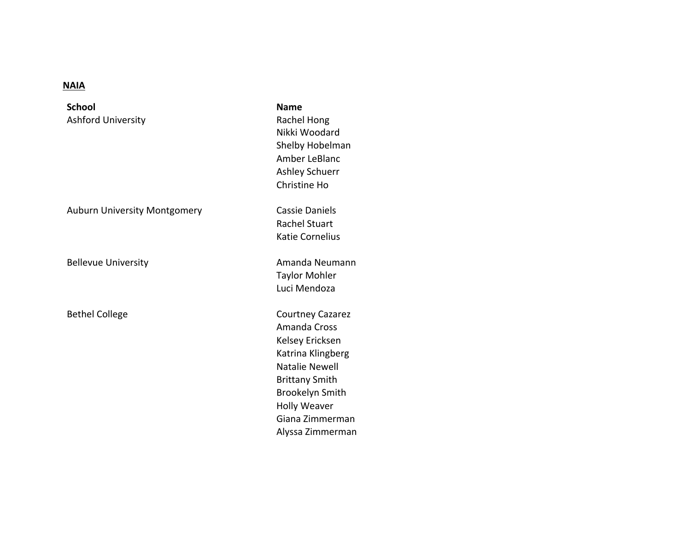## **NAIA**

**School** Ashford University

Auburn University Montgomery **Cassie Daniels** 

**Name** Rachel Hong Nikki Woodard Shelby Hobelman Amber LeBlanc Ashley Schuerr Christine Ho Rachel Stuart Katie Cornelius Bellevue University **Amanda** Neumann Taylor Mohler Luci Mendoza Bethel College Courtney Cazarez Amanda Cross Kelsey Ericksen Katrina Klingberg Natalie Newell

> Brittany Smith Brookelyn Smith **Holly Weaver** Giana Zimmerman Alyssa Zimmerman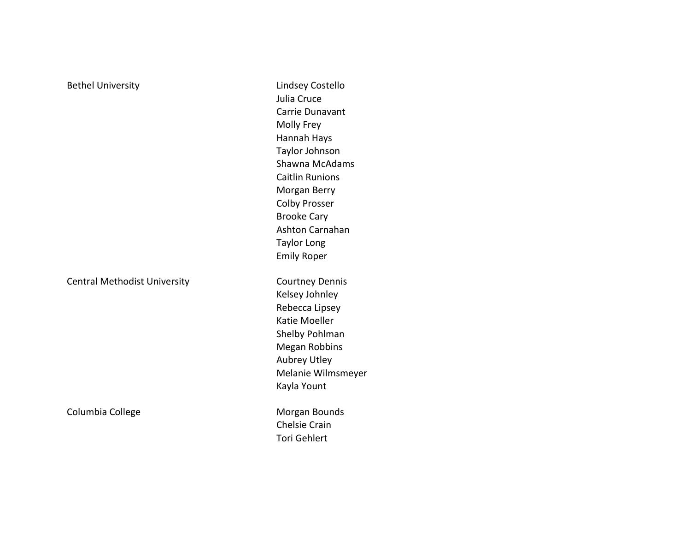| Lindsey Costello       |                                                                            |
|------------------------|----------------------------------------------------------------------------|
| Julia Cruce            |                                                                            |
| Carrie Dunavant        |                                                                            |
| Molly Frey             |                                                                            |
| Hannah Hays            |                                                                            |
| Taylor Johnson         |                                                                            |
| Shawna McAdams         |                                                                            |
| <b>Caitlin Runions</b> |                                                                            |
| Morgan Berry           |                                                                            |
| <b>Colby Prosser</b>   |                                                                            |
| <b>Brooke Cary</b>     |                                                                            |
| Ashton Carnahan        |                                                                            |
| <b>Taylor Long</b>     |                                                                            |
| <b>Emily Roper</b>     |                                                                            |
|                        |                                                                            |
|                        |                                                                            |
| Rebecca Lipsey         |                                                                            |
| Katie Moeller          |                                                                            |
| Shelby Pohlman         |                                                                            |
|                        |                                                                            |
| Aubrey Utley           |                                                                            |
| Melanie Wilmsmeyer     |                                                                            |
| Kayla Yount            |                                                                            |
|                        |                                                                            |
| <b>Chelsie Crain</b>   |                                                                            |
| <b>Tori Gehlert</b>    |                                                                            |
|                        | <b>Courtney Dennis</b><br>Kelsey Johnley<br>Megan Robbins<br>Morgan Bounds |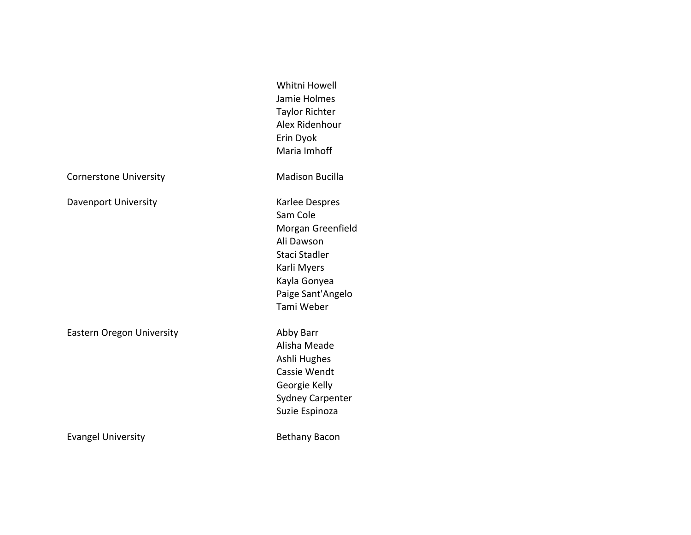|                                  | Whitni Howell<br>Jamie Holmes<br><b>Taylor Richter</b><br>Alex Ridenhour<br>Erin Dyok<br>Maria Imhoff                                            |
|----------------------------------|--------------------------------------------------------------------------------------------------------------------------------------------------|
| <b>Cornerstone University</b>    | <b>Madison Bucilla</b>                                                                                                                           |
| Davenport University             | Karlee Despres<br>Sam Cole<br>Morgan Greenfield<br>Ali Dawson<br>Staci Stadler<br>Karli Myers<br>Kayla Gonyea<br>Paige Sant'Angelo<br>Tami Weber |
| <b>Eastern Oregon University</b> | Abby Barr<br>Alisha Meade<br>Ashli Hughes<br>Cassie Wendt<br>Georgie Kelly<br><b>Sydney Carpenter</b><br>Suzie Espinoza                          |
| <b>Evangel University</b>        | <b>Bethany Bacon</b>                                                                                                                             |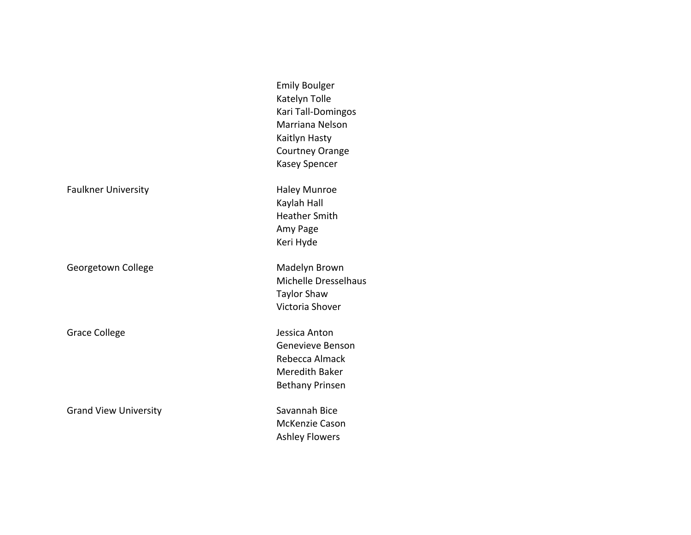|                              | <b>Emily Boulger</b><br>Katelyn Tolle<br>Kari Tall-Domingos<br>Marriana Nelson<br>Kaitlyn Hasty<br><b>Courtney Orange</b><br><b>Kasey Spencer</b> |
|------------------------------|---------------------------------------------------------------------------------------------------------------------------------------------------|
| <b>Faulkner University</b>   | <b>Haley Munroe</b><br>Kaylah Hall<br><b>Heather Smith</b><br>Amy Page<br>Keri Hyde                                                               |
| Georgetown College           | Madelyn Brown<br>Michelle Dresselhaus<br><b>Taylor Shaw</b><br>Victoria Shover                                                                    |
| <b>Grace College</b>         | Jessica Anton<br>Genevieve Benson<br>Rebecca Almack<br><b>Meredith Baker</b><br><b>Bethany Prinsen</b>                                            |
| <b>Grand View University</b> | Savannah Bice<br>McKenzie Cason<br><b>Ashley Flowers</b>                                                                                          |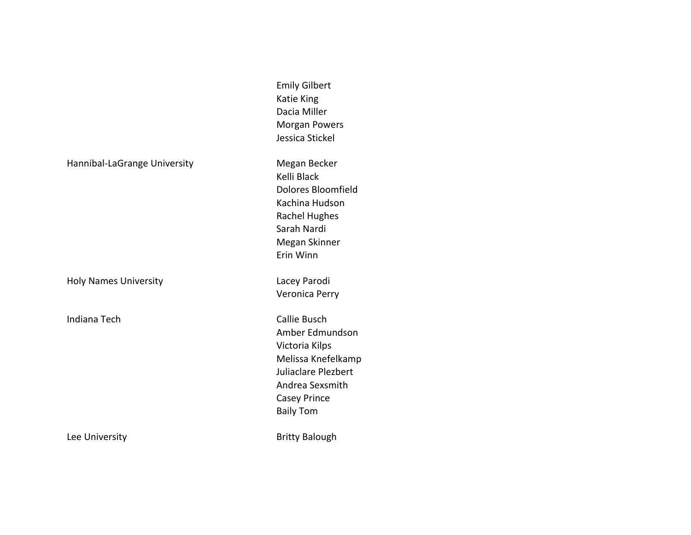Hannibal-LaGrange University Megan Becker

Holy Names University **Lacey Parodi** 

Indiana Tech **Callie** Busch

Emily Gilbert Katie King Dacia Miller Morgan Powers Jessica Stickel

Kelli Black Dolores Bloomfield Kachina Hudson **Rachel Hughes** Sarah Nardi Megan Skinner Erin Winn

Veronica Perry

Amber Edmundson Victoria Kilps Melissa Knefelkamp Juliaclare Plezbert Andrea Sexsmith Casey Prince Baily Tom

Lee University **Britty** Balough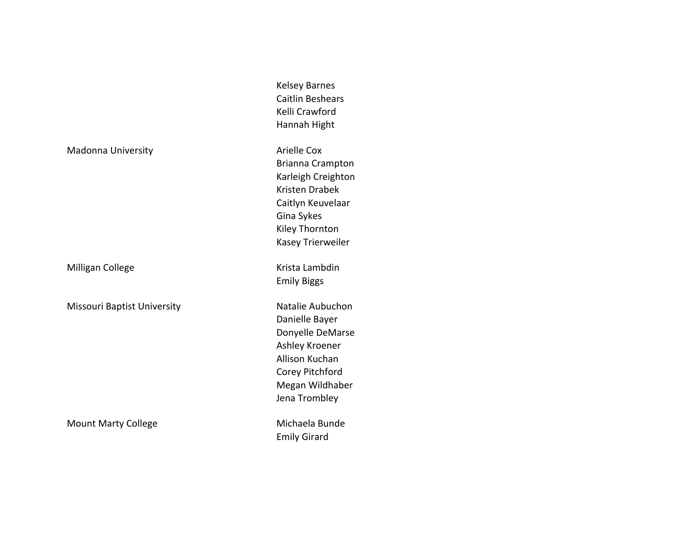Kelsey Barnes Caitlin Beshears Kelli Crawford Hannah Hight

Brianna Crampton Karleigh Creighton Kristen Drabek Caitlyn Keuvelaar Gina Sykes Kiley Thornton Kasey Trierweiler

Emily Biggs

Danielle Bayer Donyelle DeMarse Ashley Kroener Allison Kuchan Corey Pitchford Megan Wildhaber Jena Trombley

Emily Girard

Madonna University **Arielle Cox** 

Milligan College **Krista Lambdin** 

Missouri Baptist University Natalie Aubuchon

Mount Marty College Michaela Bunde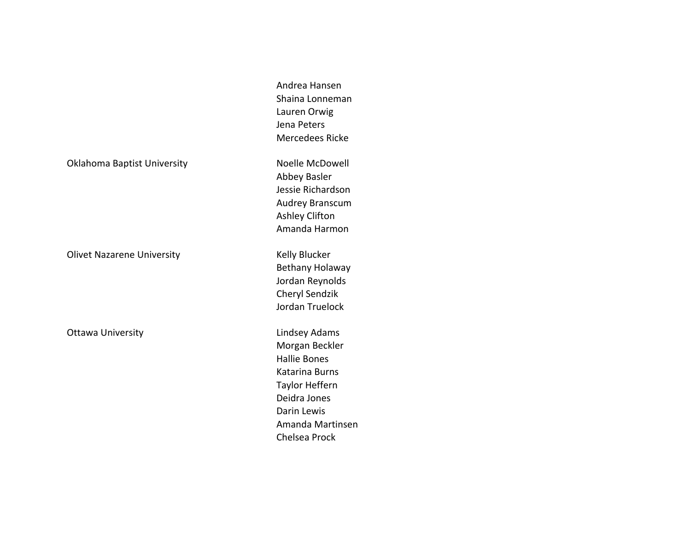Andrea Hansen Shaina Lonneman Lauren Orwig Jena Peters Mercedees Ricke

Abbey Basler Jessie Richardson

Oklahoma Baptist University Noelle McDowell

Olivet Nazarene University **Kelly Blucker** Kelly Blucker

Ottawa University **Lindsey Adams** 

Audrey Branscum Ashley Clifton Amanda Harmon Bethany Holaway Jordan Reynolds Cheryl Sendzik

Jordan Truelock

Morgan Beckler Hallie Bones Katarina Burns Taylor Heffern Deidra Jones Darin Lewis Amanda Martinsen Chelsea Prock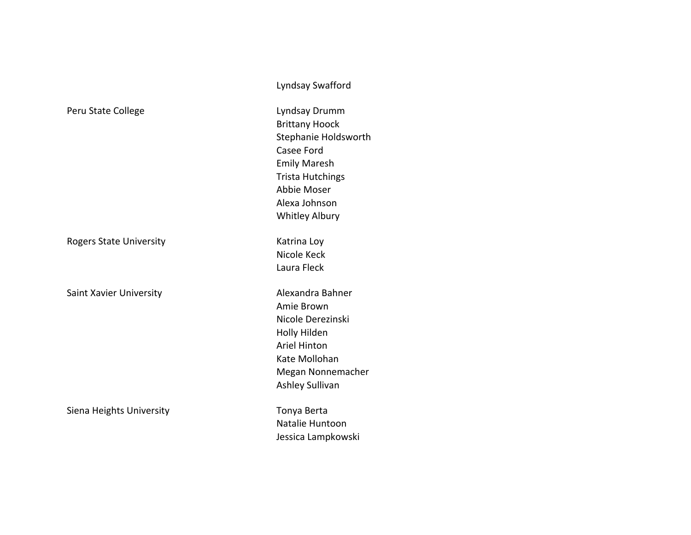|                                | $-$ , nu su y swurror u                                                                                                                                                      |
|--------------------------------|------------------------------------------------------------------------------------------------------------------------------------------------------------------------------|
| Peru State College             | Lyndsay Drumm<br><b>Brittany Hoock</b><br>Stephanie Holdsw<br>Casee Ford<br><b>Emily Maresh</b><br><b>Trista Hutchings</b><br>Abbie Moser<br>Alexa Johnson<br>Whitley Albury |
| <b>Rogers State University</b> | Katrina Loy<br>Nicole Keck<br>Laura Fleck                                                                                                                                    |
| Saint Xavier University        | Alexandra Bahner<br>Amie Brown<br>Nicole Derezinski<br>Holly Hilden<br><b>Ariel Hinton</b><br>Kate Mollohan<br>Megan Nonnemac<br>Ashley Sullivan                             |
| Siena Heights University       | Tonya Berta<br>Natalie Huntoon                                                                                                                                               |

Lyndsay Swafford

tany Hoock phanie Holdsworth ee Ford ily Maresh ta Hutchings bie Moser xa Johnson itley Albury

ie Brown ole Derezinski ly Hilden el Hinton e Mollohan gan Nonnemacher ley Sullivan

alie Huntoon Jessica Lampkowski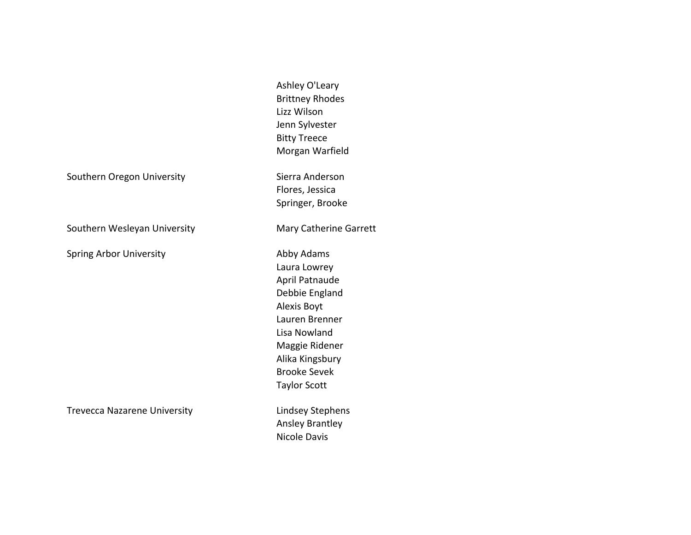Ashley O'Leary Brittney Rhodes Lizz Wilson Jenn Sylvester **Bitty Treece** Morgan Warfield Southern Oregon University **Sierra Anderson** Flores, Jessica Springer, Brooke Southern Wesleyan University **Mary Catherine Garrett** Spring Arbor University **Abby Adams** Laura Lowrey April Patnaude Debbie England Alexis Boyt Lauren Brenner Lisa Nowland Maggie Ridener Alika Kingsbury Brooke Sevek Taylor Scott Trevecca Nazarene University **Lindsey Stephens** Ansley Brantley Nicole Davis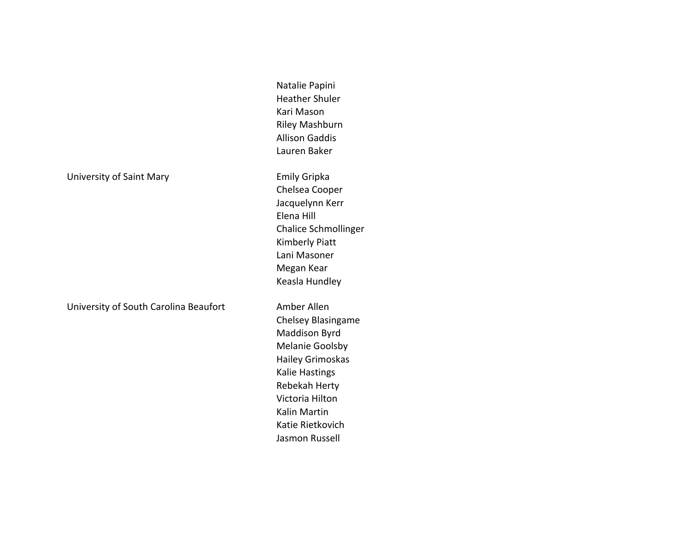|  | University of Saint Mary |  |
|--|--------------------------|--|
|--|--------------------------|--|

University of South Carolina Beaufort Amber Allen

Natalie Papini Heather Shuler Kari Mason Riley Mashburn Allison Gaddis Lauren Baker

Emily Gripka Chelsea Cooper Jacquelynn Kerr Elena Hill Chalice Schmollinger Kimberly Piatt Lani Masoner Megan Kear Keasla Hundley

Chelsey Blasingame Maddison Byrd Melanie Goolsby Hailey Grimoskas Kalie Hastings Rebekah Herty Victoria Hilton Kalin Martin Katie Rietkovich Jasmon Russell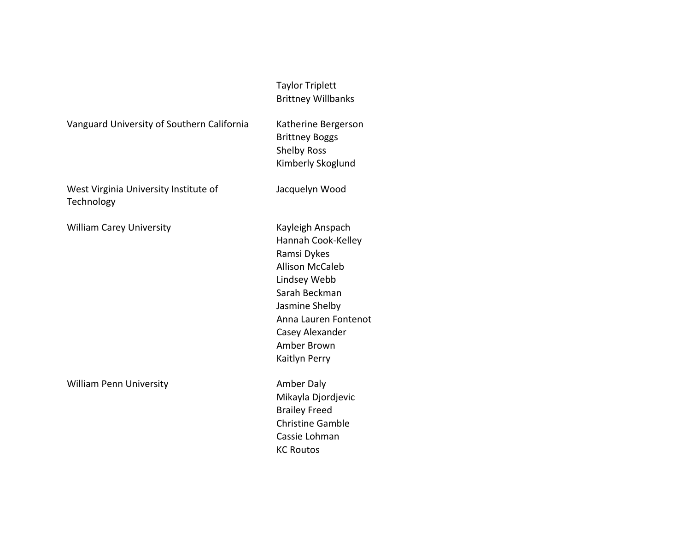|                                                     | <b>Taylor Triplett</b><br><b>Brittney Willbanks</b>                                                                                                                                                           |
|-----------------------------------------------------|---------------------------------------------------------------------------------------------------------------------------------------------------------------------------------------------------------------|
| Vanguard University of Southern California          | Katherine Bergerson<br><b>Brittney Boggs</b><br><b>Shelby Ross</b><br>Kimberly Skoglund                                                                                                                       |
| West Virginia University Institute of<br>Technology | Jacquelyn Wood                                                                                                                                                                                                |
| <b>William Carey University</b>                     | Kayleigh Anspach<br>Hannah Cook-Kelley<br>Ramsi Dykes<br><b>Allison McCaleb</b><br>Lindsey Webb<br>Sarah Beckman<br>Jasmine Shelby<br>Anna Lauren Fontenot<br>Casey Alexander<br>Amber Brown<br>Kaitlyn Perry |
| <b>William Penn University</b>                      | Amber Daly<br>Mikayla Djordjevic<br><b>Brailey Freed</b><br><b>Christine Gamble</b><br>Cassie Lohman<br><b>KC Routos</b>                                                                                      |